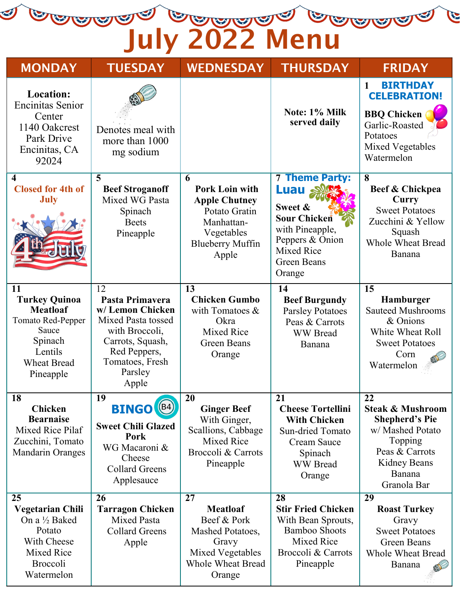a para para para p

| <b>MONDAY</b>                                                                                                                                      | <b>TUESDAY</b>                                                                                                                                              | <b>WEDNESDAY</b>                                                                                                                    | <b>THURSDAY</b>                                                                                                                                            | <b>FRIDAY</b>                                                                                                                                        |
|----------------------------------------------------------------------------------------------------------------------------------------------------|-------------------------------------------------------------------------------------------------------------------------------------------------------------|-------------------------------------------------------------------------------------------------------------------------------------|------------------------------------------------------------------------------------------------------------------------------------------------------------|------------------------------------------------------------------------------------------------------------------------------------------------------|
| <b>Location:</b><br><b>Encinitas Senior</b><br>Center<br>1140 Oakcrest<br>Park Drive<br>Encinitas, CA<br>92024                                     | Denotes meal with<br>more than 1000<br>mg sodium                                                                                                            |                                                                                                                                     | Note: 1% Milk<br>served daily                                                                                                                              | <b>BIRTHDAY</b><br>$\mathbf{1}$<br><b>CELEBRATION!</b><br><b>BBQ</b> Chicken<br>Garlic-Roasted<br>Potatoes<br>Mixed Vegetables<br>Watermelon         |
| $\overline{\mathbf{4}}$<br><b>Closed for 4th of</b><br><b>July</b>                                                                                 | 5<br><b>Beef Stroganoff</b><br>Mixed WG Pasta<br>Spinach<br><b>Beets</b><br>Pineapple                                                                       | 6<br><b>Pork Loin with</b><br><b>Apple Chutney</b><br>Potato Gratin<br>Manhattan-<br>Vegetables<br><b>Blueberry Muffin</b><br>Apple | <b>7 Theme Party:</b><br><b>Luau</b><br>Sweet &<br>Sour Chicken<br>with Pineapple,<br>Peppers & Onion<br><b>Mixed Rice</b><br><b>Green Beans</b><br>Orange | 8<br>Beef & Chickpea<br>Curry<br><b>Sweet Potatoes</b><br>Zucchini & Yellow<br>Squash<br><b>Whole Wheat Bread</b><br>Banana                          |
| <b>11</b><br><b>Turkey Quinoa</b><br><b>Meatloaf</b><br><b>Tomato Red-Pepper</b><br>Sauce<br>Spinach<br>Lentils<br><b>Wheat Bread</b><br>Pineapple | 12<br>Pasta Primavera<br>w/Lemon Chicken<br>Mixed Pasta tossed<br>with Broccoli,<br>Carrots, Squash,<br>Red Peppers,<br>Tomatoes, Fresh<br>Parsley<br>Apple | 13<br><b>Chicken Gumbo</b><br>with Tomatoes &<br>Okra<br><b>Mixed Rice</b><br><b>Green Beans</b><br>Orange                          | 14<br><b>Beef Burgundy</b><br><b>Parsley Potatoes</b><br>Peas & Carrots<br><b>WW</b> Bread<br>Banana                                                       | 15<br><b>Hamburger</b><br><b>Sauteed Mushrooms</b><br>& Onions<br>White Wheat Roll<br><b>Sweet Potatoes</b><br>Corn<br>Watermelon                    |
| <b>18</b><br>Chicken<br><b>Bearnaise</b><br>Mixed Rice Pilaf<br>Zucchini, Tomato<br><b>Mandarin Oranges</b>                                        | 19<br>(B4)<br><b>BINGO</b><br><b>Sweet Chili Glazed</b><br>Pork<br>WG Macaroni &<br>Cheese<br><b>Collard Greens</b><br>Applesauce                           | 20<br><b>Ginger Beef</b><br>With Ginger,<br>Scallions, Cabbage<br>Mixed Rice<br>Broccoli & Carrots<br>Pineapple                     | 21<br><b>Cheese Tortellini</b><br><b>With Chicken</b><br>Sun-dried Tomato<br><b>Cream Sauce</b><br>Spinach<br><b>WW</b> Bread<br>Orange                    | 22<br><b>Steak &amp; Mushroom</b><br><b>Shepherd's Pie</b><br>w/ Mashed Potato<br>Topping<br>Peas & Carrots<br>Kidney Beans<br>Banana<br>Granola Bar |
| 25<br><b>Vegetarian Chili</b><br>On a 1/2 Baked<br>Potato<br>With Cheese<br>Mixed Rice<br>Broccoli<br>Watermelon                                   | 26<br><b>Tarragon Chicken</b><br><b>Mixed Pasta</b><br><b>Collard Greens</b><br>Apple                                                                       | 27<br><b>Meatloaf</b><br>Beef & Pork<br>Mashed Potatoes,<br>Gravy<br>Mixed Vegetables<br><b>Whole Wheat Bread</b><br>Orange         | 28<br><b>Stir Fried Chicken</b><br>With Bean Sprouts,<br><b>Bamboo Shoots</b><br>Mixed Rice<br>Broccoli & Carrots<br>Pineapple                             | 29<br><b>Roast Turkey</b><br>Gravy<br><b>Sweet Potatoes</b><br><b>Green Beans</b><br><b>Whole Wheat Bread</b><br>Banana                              |